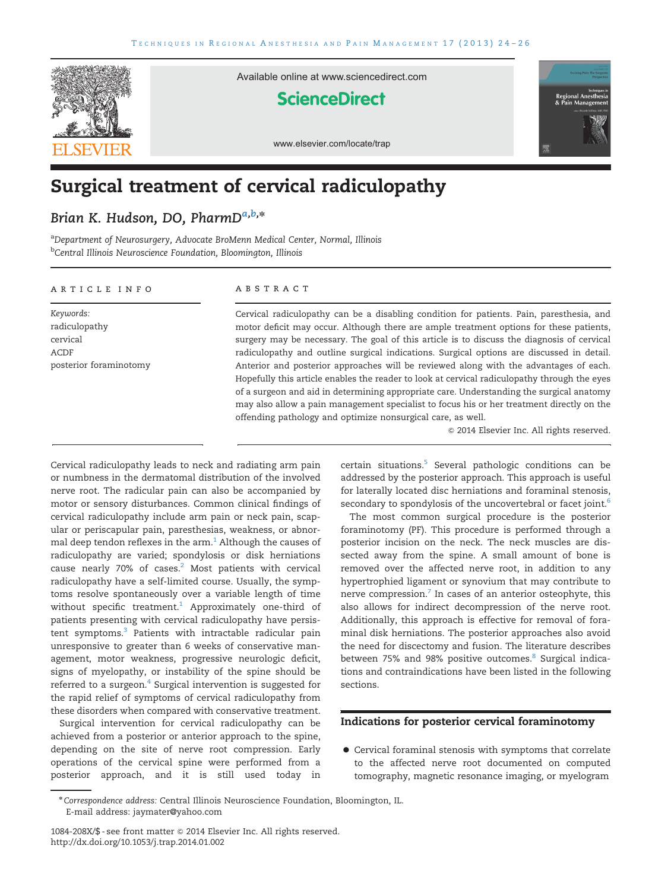

Available online at www.sciencedirect.com

# **ScienceDirect**



www.elsevier.com/locate/trap

# Surgical treatment of cervical radiculopathy

# Brian K. Hudson, DO, PharmDa,b,\*

<sup>a</sup>Department of Neurosurgery, Advocate BroMenn Medical Center, Normal, Illinois <sup>b</sup>Central Illinois Neuroscience Foundation, Bloomington, Illinois

#### article info

Keywords: radiculopathy cervical ACDF posterior foraminotomy

#### abstract

Cervical radiculopathy can be a disabling condition for patients. Pain, paresthesia, and motor deficit may occur. Although there are ample treatment options for these patients, surgery may be necessary. The goal of this article is to discuss the diagnosis of cervical radiculopathy and outline surgical indications. Surgical options are discussed in detail. Anterior and posterior approaches will be reviewed along with the advantages of each. Hopefully this article enables the reader to look at cervical radiculopathy through the eyes of a surgeon and aid in determining appropriate care. Understanding the surgical anatomy may also allow a pain management specialist to focus his or her treatment directly on the offending pathology and optimize nonsurgical care, as well.

 $©$  2014 Elsevier Inc. All rights reserved.

Cervical radiculopathy leads to neck and radiating arm pain or numbness in the dermatomal distribution of the involved nerve root. The radicular pain can also be accompanied by motor or sensory disturbances. Common clinical findings of cervical radiculopathy include arm pain or neck pain, scapular or periscapular pain, paresthesias, weakness, or abnormal deep tendon reflexes in the  $arm<sup>1</sup>$  Although the causes of radiculopathy are varied; spondylosis or disk herniations cause nearly 70% of cases.<sup>2</sup> Most patients with cervical radiculopathy have a self-limited course. Usually, the symptoms resolve spontaneously over a variable length of time without specific treatment.<sup>1</sup> Approximately one-third of patients presenting with cervical radiculopathy have persis-tent symptoms.<sup>[3](#page-2-0)</sup> Patients with intractable radicular pain unresponsive to greater than 6 weeks of conservative management, motor weakness, progressive neurologic deficit, signs of myelopathy, or instability of the spine should be referred to a surgeon.<sup>[4](#page-2-0)</sup> Surgical intervention is suggested for the rapid relief of symptoms of cervical radiculopathy from these disorders when compared with conservative treatment.

Surgical intervention for cervical radiculopathy can be achieved from a posterior or anterior approach to the spine, depending on the site of nerve root compression. Early operations of the cervical spine were performed from a posterior approach, and it is still used today in certain situations.<sup>[5](#page-2-0)</sup> Several pathologic conditions can be addressed by the posterior approach. This approach is useful for laterally located disc herniations and foraminal stenosis, secondary to spondylosis of the uncovertebral or facet joint.<sup>[6](#page-2-0)</sup>

The most common surgical procedure is the posterior foraminotomy (PF). This procedure is performed through a posterior incision on the neck. The neck muscles are dissected away from the spine. A small amount of bone is removed over the affected nerve root, in addition to any hypertrophied ligament or synovium that may contribute to nerve compression. $^7$  In cases of an anterior osteophyte, this also allows for indirect decompression of the nerve root. Additionally, this approach is effective for removal of foraminal disk herniations. The posterior approaches also avoid the need for discectomy and fusion. The literature describes between 75% and 9[8](#page-2-0)% positive outcomes.<sup>8</sup> Surgical indications and contraindications have been listed in the following sections.

## Indications for posterior cervical foraminotomy

 Cervical foraminal stenosis with symptoms that correlate to the affected nerve root documented on computed tomography, magnetic resonance imaging, or myelogram

<sup>\*</sup>Correspondence address: Central Illinois Neuroscience Foundation, Bloomington, IL. E-mail address: [jaymater@yahoo.com](mailto:jaymater@yahoo.com)

<sup>1084-208</sup>X/\$ - see front matter & 2014 Elsevier Inc. All rights reserved. <http://dx.doi.org/10.1053/j.trap.2014.01.002>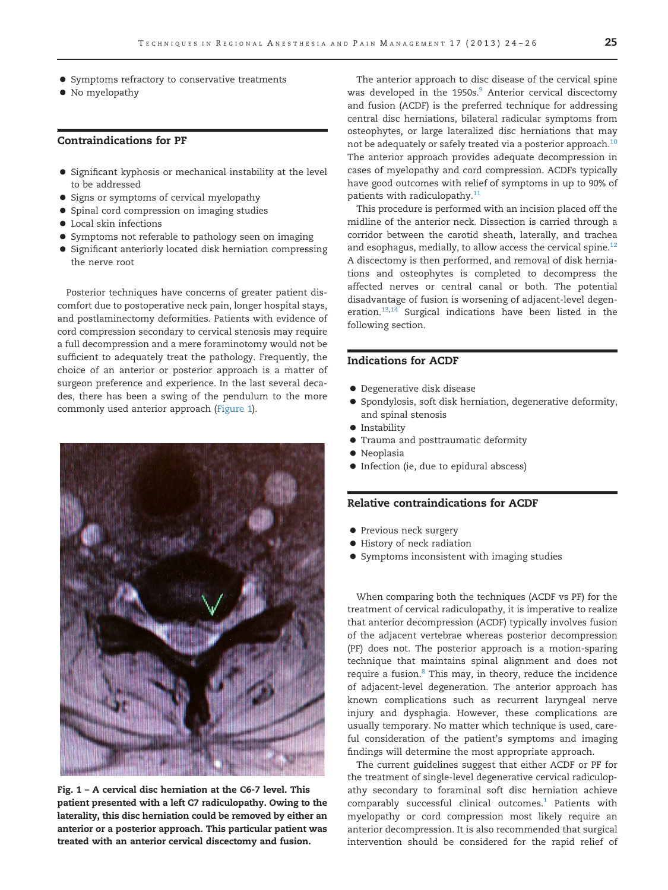- **•** Symptoms refractory to conservative treatments
- $\bullet$  No myelopathy

#### Contraindications for PF

- Significant kyphosis or mechanical instability at the level to be addressed
- Signs or symptoms of cervical myelopathy
- **•** Spinal cord compression on imaging studies
- Local skin infections
- Symptoms not referable to pathology seen on imaging
- Significant anteriorly located disk herniation compressing the nerve root

Posterior techniques have concerns of greater patient discomfort due to postoperative neck pain, longer hospital stays, and postlaminectomy deformities. Patients with evidence of cord compression secondary to cervical stenosis may require a full decompression and a mere foraminotomy would not be sufficient to adequately treat the pathology. Frequently, the choice of an anterior or posterior approach is a matter of surgeon preference and experience. In the last several decades, there has been a swing of the pendulum to the more commonly used anterior approach (Figure 1).



Fig. 1 – A cervical disc herniation at the C6-7 level. This patient presented with a left C7 radiculopathy. Owing to the laterality, this disc herniation could be removed by either an anterior or a posterior approach. This particular patient was treated with an anterior cervical discectomy and fusion.

The anterior approach to disc disease of the cervical spine was developed in the 1950s.<sup>9</sup> Anterior cervical discectomy and fusion (ACDF) is the preferred technique for addressing central disc herniations, bilateral radicular symptoms from osteophytes, or large lateralized disc herniations that may not be adequately or safely treated via a posterior approach. $10$ The anterior approach provides adequate decompression in cases of myelopathy and cord compression. ACDFs typically have good outcomes with relief of symptoms in up to 90% of patients with radiculopathy.<sup>[11](#page-2-0)</sup>

This procedure is performed with an incision placed off the midline of the anterior neck. Dissection is carried through a corridor between the carotid sheath, laterally, and trachea and esophagus, medially, to allow access the cervical spine. $12$ A discectomy is then performed, and removal of disk herniations and osteophytes is completed to decompress the affected nerves or central canal or both. The potential disadvantage of fusion is worsening of adjacent-level degeneration.<sup>13,14</sup> Surgical indications have been listed in the following section.

# Indications for ACDF

- Degenerative disk disease
- Spondylosis, soft disk herniation, degenerative deformity, and spinal stenosis
- **•** Instability
- Trauma and posttraumatic deformity
- **•** Neoplasia
- $\bullet$  Infection (ie, due to epidural abscess)

## Relative contraindications for ACDF

- Previous neck surgery
- History of neck radiation
- Symptoms inconsistent with imaging studies

When comparing both the techniques (ACDF vs PF) for the treatment of cervical radiculopathy, it is imperative to realize that anterior decompression (ACDF) typically involves fusion of the adjacent vertebrae whereas posterior decompression (PF) does not. The posterior approach is a motion-sparing technique that maintains spinal alignment and does not require a fusion.<sup>[8](#page-2-0)</sup> This may, in theory, reduce the incidence of adjacent-level degeneration. The anterior approach has known complications such as recurrent laryngeal nerve injury and dysphagia. However, these complications are usually temporary. No matter which technique is used, careful consideration of the patient's symptoms and imaging findings will determine the most appropriate approach.

The current guidelines suggest that either ACDF or PF for the treatment of single-level degenerative cervical radiculopathy secondary to foraminal soft disc herniation achieve comparably successful clinical outcomes. $1$  Patients with myelopathy or cord compression most likely require an anterior decompression. It is also recommended that surgical intervention should be considered for the rapid relief of